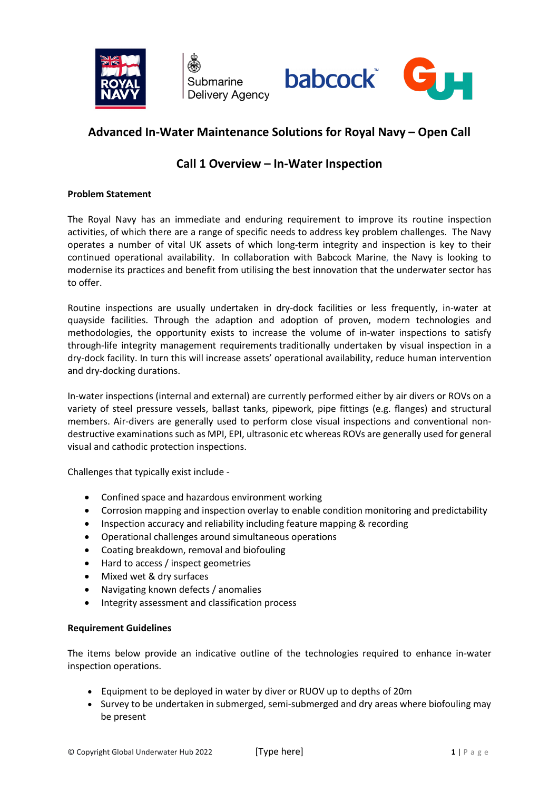

Submarine Delivery Agency



# **Advanced In-Water Maintenance Solutions for Royal Navy – Open Call**

## **Call 1 Overview – In-Water Inspection**

### **Problem Statement**

The Royal Navy has an immediate and enduring requirement to improve its routine inspection activities, of which there are a range of specific needs to address key problem challenges. The Navy operates a number of vital UK assets of which long-term integrity and inspection is key to their continued operational availability. In collaboration with Babcock Marine, the Navy is looking to modernise its practices and benefit from utilising the best innovation that the underwater sector has to offer.

Routine inspections are usually undertaken in dry-dock facilities or less frequently, in-water at quayside facilities. Through the adaption and adoption of proven, modern technologies and methodologies, the opportunity exists to increase the volume of in-water inspections to satisfy through-life integrity management requirements traditionally undertaken by visual inspection in a dry-dock facility. In turn this will increase assets' operational availability, reduce human intervention and dry-docking durations.

In-water inspections (internal and external) are currently performed either by air divers or ROVs on a variety of steel pressure vessels, ballast tanks, pipework, pipe fittings (e.g. flanges) and structural members. Air-divers are generally used to perform close visual inspections and conventional nondestructive examinations such as MPI, EPI, ultrasonic etc whereas ROVs are generally used for general visual and cathodic protection inspections.

Challenges that typically exist include -

- Confined space and hazardous environment working
- Corrosion mapping and inspection overlay to enable condition monitoring and predictability
- Inspection accuracy and reliability including feature mapping & recording
- Operational challenges around simultaneous operations
- Coating breakdown, removal and biofouling
- Hard to access / inspect geometries
- Mixed wet & dry surfaces
- Navigating known defects / anomalies
- Integrity assessment and classification process

### **Requirement Guidelines**

The items below provide an indicative outline of the technologies required to enhance in-water inspection operations.

- Equipment to be deployed in water by diver or RUOV up to depths of 20m
- Survey to be undertaken in submerged, semi-submerged and dry areas where biofouling may be present